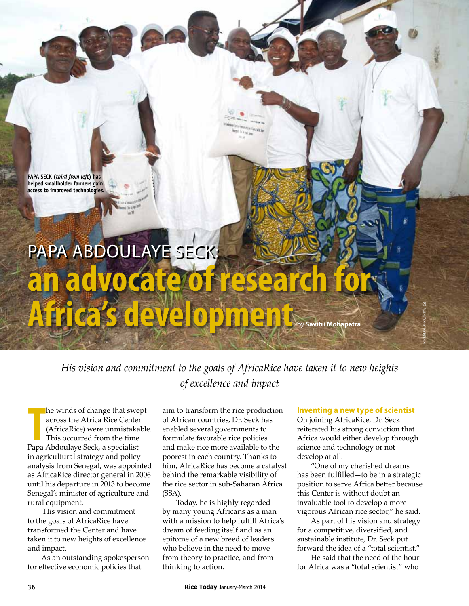**Papa Seck (***third from left***) has helped smallholder farmers gain access to improved technologies.**

# PAPA ABDOULAYE SECK: an advocate of rese **Africa's development** by **Savitri Mohapatra**

*His vision and commitment to the goals of AfricaRice have taken it to new heights of excellence and impact*

**The winds of change that swe**<br>
across the Africa Rice Center<br>
(AfricaRice) were unmistaka<br>
This occurred from the time<br>
Papa Abdoulaye Seck, a specialist he winds of change that swept across the Africa Rice Center (AfricaRice) were unmistakable. This occurred from the time in agricultural strategy and policy analysis from Senegal, was appointed as AfricaRice director general in 2006 until his departure in 2013 to become Senegal's minister of agriculture and rural equipment.

 His vision and commitment to the goals of AfricaRice have transformed the Center and have taken it to new heights of excellence and impact.

As an outstanding spokesperson for effective economic policies that

aim to transform the rice production of African countries, Dr. Seck has enabled several governments to formulate favorable rice policies and make rice more available to the poorest in each country. Thanks to him, AfricaRice has become a catalyst behind the remarkable visibility of the rice sector in sub-Saharan Africa (SSA).

Today, he is highly regarded by many young Africans as a man with a mission to help fulfill Africa's dream of feeding itself and as an epitome of a new breed of leaders who believe in the need to move from theory to practice, and from thinking to action.

#### **Inventing a new type of scientist**

R Raman, AfricaRice (2)

On joining AfricaRice, Dr. Seck reiterated his strong conviction that Africa would either develop through science and technology or not develop at all.

"One of my cherished dreams has been fulfilled—to be in a strategic position to serve Africa better because this Center is without doubt an invaluable tool to develop a more vigorous African rice sector," he said.

As part of his vision and strategy for a competitive, diversified, and sustainable institute, Dr. Seck put forward the idea of a "total scientist."

He said that the need of the hour for Africa was a "total scientist" who